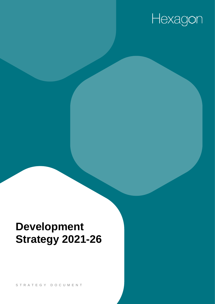# Hexagon

## **Development Strategy 2021-26**

S T R A T E G Y D O C U M E N T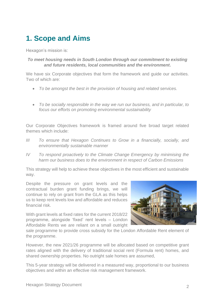### **1. Scope and Aims**

Hexagon's mission is:

#### *To meet housing needs in South London through our commitment to existing and future residents, local communities and the environment***.**

We have six Corporate objectives that form the framework and quide our activities. Two of which are:

- *To be amongst the best in the provision of housing and related services.*
- *To be socially responsible in the way we run our business, and in particular, to focus our efforts on promoting environmental sustainability*

Our Corporate Objectives framework is framed around five broad target related themes which include:

- *III To ensure that Hexagon Continues to Grow in a financially, socially, and environmentally sustainable manner*
- *IV To respond proactively to the Climate Change Emergency by minimising the harm our business does to the environment in respect of Carbon Emissions*

This strategy will help to achieve these objectives in the most efficient and sustainable way.

Despite the pressure on grant levels and the contractual burden grant funding brings, we will continue to rely on grant from the GLA as this helps us to keep rent levels low and affordable and reduces financial risk.

With grant levels at fixed rates for the current 2018/22 programme, alongside 'fixed' rent levels – London Affordable Rents we are reliant on a small outright



sale programme to provide cross subsidy for the London Affordable Rent element of the programme.

However, the new 2021/26 programme will be allocated based on competitive grant rates aligned with the delivery of traditional social rent (Formula rent) homes, and shared ownership properties. No outright sale homes are assumed,

This 5-year strategy will be delivered in a measured way, proportional to our business objectives and within an effective risk management framework.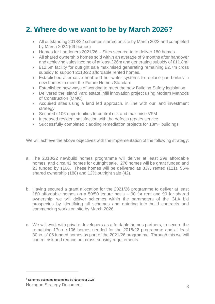#### **2. Where do we want to be by March 2026?**

- All outstanding 2018/22 schemes started on site by March 2023 and completed by March 2024 (69 homes)
- Homes for Londoners 2021/26 Sites secured to to deliver 180 homes.
- All shared ownership homes sold within an average of 9 months after handover and achieving sales income of at least £26m and generating subsidy of £11.8m<sup>1</sup>
- £12.5m facility for outright sale maximised generating remaining £2.7m cross subsidy to support 2018/22 affordable rented homes.
- Established alternative heat and hot water systems to replace gas boilers in new homes to meet the Future Homes Standard
- Established new ways of working to meet the new Building Safety legislation
- Delivered the Island Yard estate infill innovation project using Modern Methods of Construction (MMC)
- Acquired sites using a land led approach, in line with our land investment strategy
- Secured s106 opportunities to control risk and maximise VFM
- Increased resident satisfaction with the defects repairs service.
- Successfully completed cladding remediation projects for 18m+ buildings.

We will achieve the above objectives with the implementation of the following strategy:

- a. The 2018/22 newbuild homes programme will deliver at least 299 affordable homes, and circa 42 homes for outright sale. 276 homes will be grant funded and 23 funded by s106. These homes will be delivered as 33% rented (111), 55% shared ownership (188) and 12% outright sale (42).
- b. Having secured a grant allocation for the 2021/26 programme to deliver at least 180 affordable homes on a 50/50 tenure basis – 90 for rent and 90 for shared ownership, we will deliver schemes within the parameters of the GLA bid prospectus by identifying all schemes and entering into build contracts and commencing works on site by March 2026.
- c. We will work with private developers as affordable homes partners, to secure the remaining 17no. s106 homes needed for the 2018/22 programme and at least 30no. s106 funded homes as part of the 2021/26 programme. Through this we will control risk and reduce our cross-subsidy requirements

<sup>&</sup>lt;sup>1</sup> Schemes estimated to complete by November 2025

Hexagon Strategy Document 3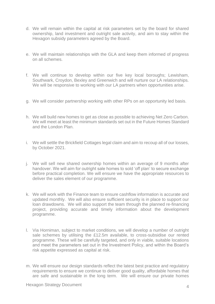- d. We will remain within the capital at risk parameters set by the board for shared ownership, land investment and outright sale activity, and aim to stay within the Hexagon subsidy parameters agreed by the Board.
- e. We will maintain relationships with the GLA and keep them informed of progress on all schemes.
- f. We will continue to develop within our five key local boroughs; Lewisham, Southwark, Croydon, Bexley and Greenwich and will nurture our LA relationships. We will be responsive to working with our LA partners when opportunities arise.
- g. We will consider partnership working with other RPs on an opportunity led basis.
- h. We will build new homes to get as close as possible to achieving Net Zero Carbon. We will meet at least the minimum standards set out in the Future Homes Standard and the London Plan.
- i. We will settle the Brickfield Cottages legal claim and aim to recoup all of our losses, by October 2021.
- j. We will sell new shared ownership homes within an average of 9 months after handover. We will aim for outright sale homes to sold 'off plan' to secure exchange before practical completion. We will ensure we have the appropriate resources to deliver the sales element of our programme.
- k. We will work with the Finance team to ensure cashflow information is accurate and updated monthly. We will also ensure sufficient security is in place to support our loan drawdowns. We will also support the team through the planned re-financing project, providing accurate and timely information about the development programme.
- l. Via Horniman, subject to market conditions, we will develop a number of outright sale schemes by utilising the £12.5m available, to cross-subsidise our rented programme. These will be carefully targeted, and only in viable, suitable locations and meet the parameters set out in the Investment Policy, and within the Board's risk appetite expressed as capital at risk.
- m. We will ensure our design standards reflect the latest best practice and regulatory requirements to ensure we continue to deliver good quality, affordable homes that are safe and sustainable in the long term. We will ensure our private homes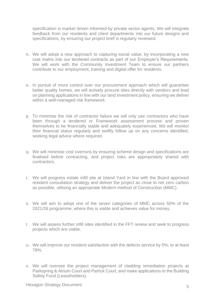specification is market driven informed by private sector agents. We will integrate feedback from our residents and client departments into our future designs and specifications, by ensuring our project brief is regularly reviewed.

- n. We will adopt a new approach to capturing social value, by incorporating a new cost matrix into our tendered contracts as part of our Employer's Requirements. We will work with the Community Investment Team to ensure our partners contribute to our employment, training and digital offer for residents.
- o. In pursuit of more control over our procurement approach which will guarantee better quality homes, we will actively procure sites directly with vendors and lead on planning applications in line with our land investment policy, ensuring we deliver within a well-managed risk framework.
- p. To minimise the risk of contractor failure we will only use contractors who have been through a tendered or Framework assessment process and proven themselves to be financially stable and adequately experienced. We will monitor their financial status regularly and swiftly follow up on any concerns identified, seeking legal advice where required.
- q. We will minimise cost overruns by ensuring scheme design and specifications are finalised before contracting, and project risks are appropriately shared with contractors.
- r. We will progress estate infill site at Island Yard in line with the Board approved resident consultation strategy and deliver the project as close to net zero carbon as possible, utilising an appropriate Modern method of Construction (MMC).
- s. We will aim to adopt one of the seven categories of MMC across 50% of the 2021/26 programme, where this is viable and achieves value for money.
- t. We will assess further infill sites identified in the FFT review and seek to progress projects which are viable.
- u. We will improve our resident satisfaction with the defects service by 5%, to at least 78%.
- v. We will oversee the project management of cladding remediation projects at Parkspring & Atrium Court and Patrick Court, and make applications to the Building Safety Fund (Leaseholders).

Hexagon Strategy Document 5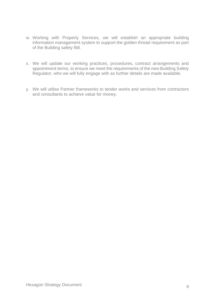- w. Working with Property Services, we will establish an appropriate building information management system to support the golden thread requirement as part of the Building safety Bill.
- x. We will update our working practices, procedures, contract arrangements and appointment terms, to ensure we meet the requirements of the new Building Safety Regulator, who we will fully engage with as further details are made available.
- y. We will utilise Partner frameworks to tender works and services from contractors and consultants to achieve value for money.